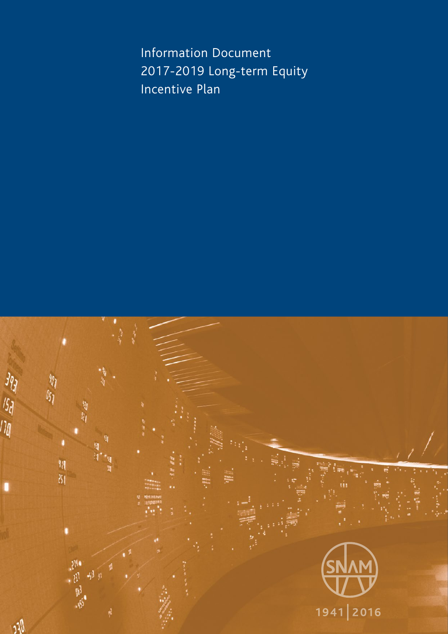Information Document 2017-2019 Long-term Equity Incentive Plan

393<br>157<br>110

г

 $30$ 

 $\frac{m}{g}$ 

物

 $\mathbb{R}$  $\ddot{u}$ 

物别

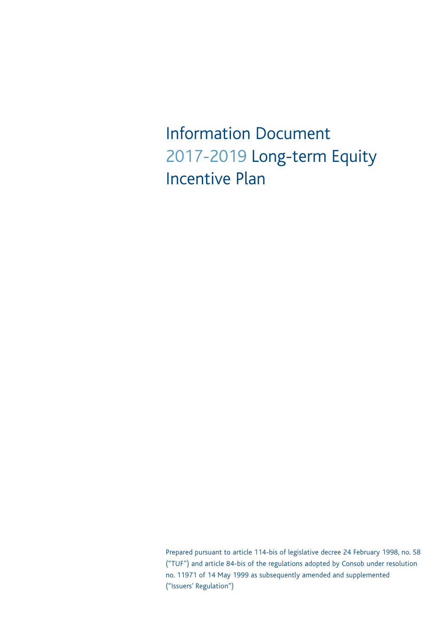Information Document 2017-2019 Long-term Equity Incentive Plan

Prepared pursuant to article 114-bis of legislative decree 24 February 1998, no. 58 ("TUF") and article 84-bis of the regulations adopted by Consob under resolution no. 11971 of 14 May 1999 as subsequently amended and supplemented ("Issuers' Regulation")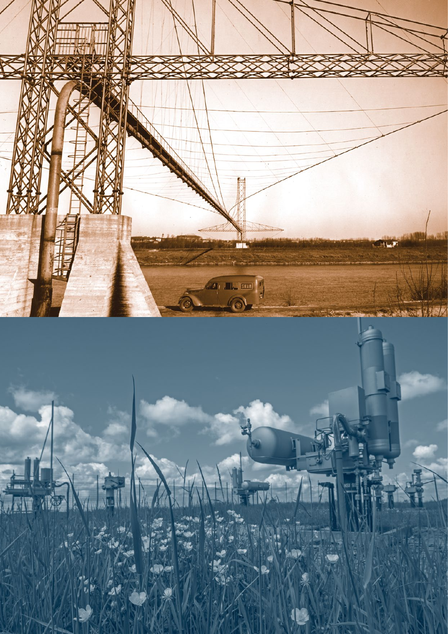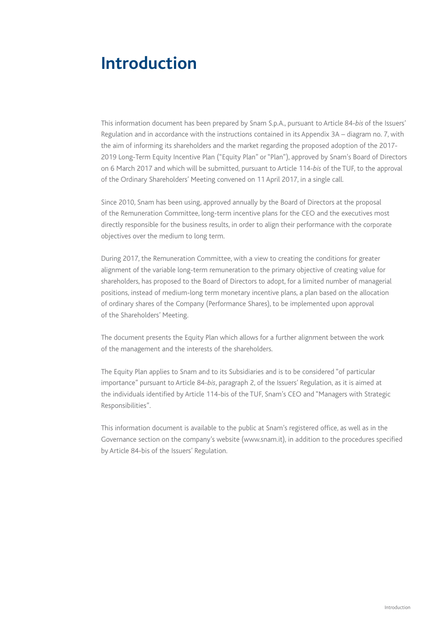## **Introduction**

This information document has been prepared by Snam S.p.A., pursuant to Article 84-*bis* of the Issuers' Regulation and in accordance with the instructions contained in its Appendix 3A – diagram no. 7, with the aim of informing its shareholders and the market regarding the proposed adoption of the 2017- 2019 Long-Term Equity Incentive Plan ("Equity Plan" or "Plan"), approved by Snam's Board of Directors on 6 March 2017 and which will be submitted, pursuant to Article 114-*bis* of the TUF, to the approval of the Ordinary Shareholders' Meeting convened on 11 April 2017, in a single call.

Since 2010, Snam has been using, approved annually by the Board of Directors at the proposal of the Remuneration Committee, long-term incentive plans for the CEO and the executives most directly responsible for the business results, in order to align their performance with the corporate objectives over the medium to long term.

During 2017, the Remuneration Committee, with a view to creating the conditions for greater alignment of the variable long-term remuneration to the primary objective of creating value for shareholders, has proposed to the Board of Directors to adopt, for a limited number of managerial positions, instead of medium-long term monetary incentive plans, a plan based on the allocation of ordinary shares of the Company (Performance Shares), to be implemented upon approval of the Shareholders' Meeting.

The document presents the Equity Plan which allows for a further alignment between the work of the management and the interests of the shareholders.

The Equity Plan applies to Snam and to its Subsidiaries and is to be considered "of particular importance" pursuant to Article 84-*bis*, paragraph 2, of the Issuers' Regulation, as it is aimed at the individuals identified by Article 114-bis of the TUF, Snam's CEO and "Managers with Strategic Responsibilities".

This information document is available to the public at Snam's registered office, as well as in the Governance section on the company's website (www.snam.it), in addition to the procedures specified by Article 84-bis of the Issuers' Regulation.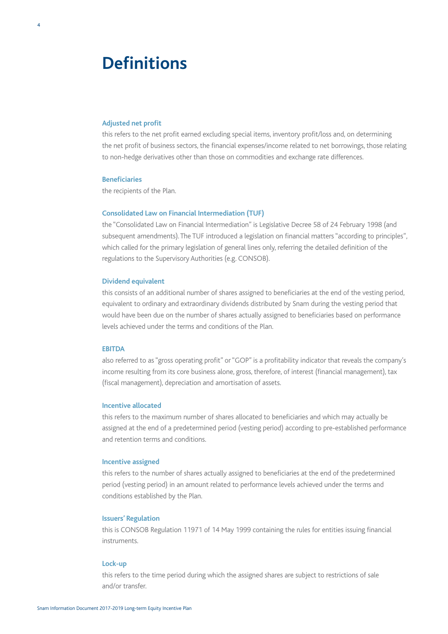## **Definitions**

#### **Adjusted net profit**

this refers to the net profit earned excluding special items, inventory profit/loss and, on determining the net profit of business sectors, the financial expenses/income related to net borrowings, those relating to non-hedge derivatives other than those on commodities and exchange rate differences.

#### **Beneficiaries**

the recipients of the Plan.

#### **Consolidated Law on Financial Intermediation (TUF)**

the "Consolidated Law on Financial Intermediation" is Legislative Decree 58 of 24 February 1998 (and subsequent amendments). The TUF introduced a legislation on financial matters "according to principles", which called for the primary legislation of general lines only, referring the detailed definition of the regulations to the Supervisory Authorities (e.g. CONSOB).

#### **Dividend equivalent**

this consists of an additional number of shares assigned to beneficiaries at the end of the vesting period, equivalent to ordinary and extraordinary dividends distributed by Snam during the vesting period that would have been due on the number of shares actually assigned to beneficiaries based on performance levels achieved under the terms and conditions of the Plan.

#### **EBITDA**

also referred to as "gross operating profit" or "GOP" is a profitability indicator that reveals the company's income resulting from its core business alone, gross, therefore, of interest (financial management), tax (fiscal management), depreciation and amortisation of assets.

#### **Incentive allocated**

this refers to the maximum number of shares allocated to beneficiaries and which may actually be assigned at the end of a predetermined period (vesting period) according to pre-established performance and retention terms and conditions.

#### **Incentive assigned**

this refers to the number of shares actually assigned to beneficiaries at the end of the predetermined period (vesting period) in an amount related to performance levels achieved under the terms and conditions established by the Plan.

#### **Issuers' Regulation**

this is CONSOB Regulation 11971 of 14 May 1999 containing the rules for entities issuing financial instruments.

### **Lock-up**

this refers to the time period during which the assigned shares are subject to restrictions of sale and/or transfer.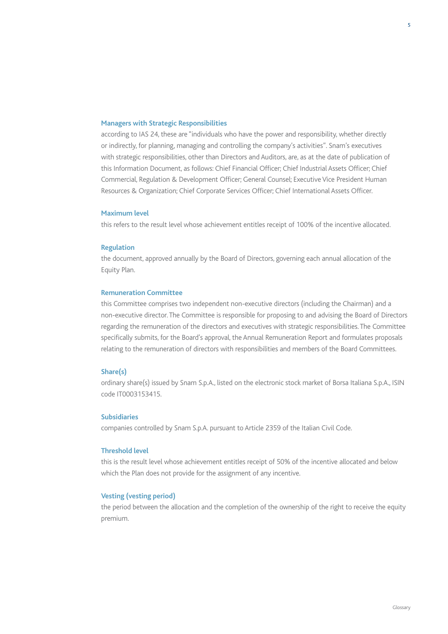#### **Managers with Strategic Responsibilities**

according to IAS 24, these are "individuals who have the power and responsibility, whether directly or indirectly, for planning, managing and controlling the company's activities". Snam's executives with strategic responsibilities, other than Directors and Auditors, are, as at the date of publication of this Information Document, as follows: Chief Financial Officer; Chief Industrial Assets Officer; Chief Commercial, Regulation & Development Officer; General Counsel; Executive Vice President Human Resources & Organization; Chief Corporate Services Officer; Chief International Assets Officer.

#### **Maximum level**

this refers to the result level whose achievement entitles receipt of 100% of the incentive allocated.

#### **Regulation**

the document, approved annually by the Board of Directors, governing each annual allocation of the Equity Plan.

## **Remuneration Committee**

this Committee comprises two independent non-executive directors (including the Chairman) and a non-executive director. The Committee is responsible for proposing to and advising the Board of Directors regarding the remuneration of the directors and executives with strategic responsibilities. The Committee specifically submits, for the Board's approval, the Annual Remuneration Report and formulates proposals relating to the remuneration of directors with responsibilities and members of the Board Committees.

#### **Share(s)**

ordinary share(s) issued by Snam S.p.A., listed on the electronic stock market of Borsa Italiana S.p.A., ISIN code IT0003153415.

#### **Subsidiaries**

companies controlled by Snam S.p.A. pursuant to Article 2359 of the Italian Civil Code.

#### **Threshold level**

this is the result level whose achievement entitles receipt of 50% of the incentive allocated and below which the Plan does not provide for the assignment of any incentive.

#### **Vesting (vesting period)**

the period between the allocation and the completion of the ownership of the right to receive the equity premium.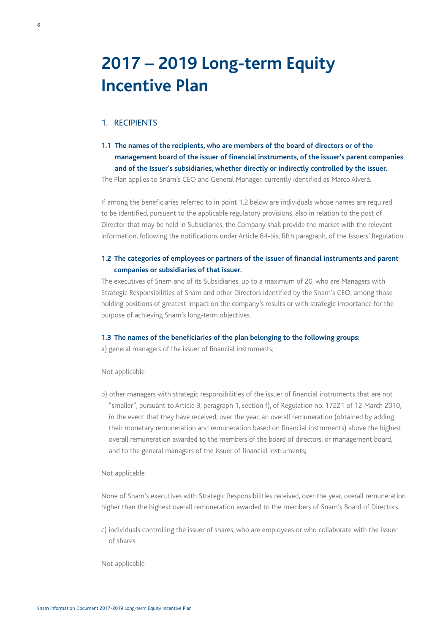# **2017 – 2019 Long-term Equity Incentive Plan**

## 1. Recipients

**1.1 The names of the recipients, who are members of the board of directors or of the management board of the issuer of financial instruments, of the issuer's parent companies and of the Issuer's subsidiaries, whether directly or indirectly controlled by the issuer.**

The Plan applies to Snam's CEO and General Manager, currently identified as Marco Alverà.

If among the beneficiaries referred to in point 1.2 below are individuals whose names are required to be identified, pursuant to the applicable regulatory provisions, also in relation to the post of Director that may be held in Subsidiaries, the Company shall provide the market with the relevant information, following the notifications under Article 84-bis, fifth paragraph, of the Issuers' Regulation.

## **1.2 The categories of employees or partners of the issuer of financial instruments and parent companies or subsidiaries of that issuer.**

The executives of Snam and of its Subsidiaries, up to a maximum of 20, who are Managers with Strategic Responsibilities of Snam and other Directors identified by the Snam's CEO, among those holding positions of greatest impact on the company's results or with strategic importance for the purpose of achieving Snam's long-term objectives.

#### **1.3 The names of the beneficiaries of the plan belonging to the following groups:**

a) general managers of the issuer of financial instruments;

Not applicable

b) other managers with strategic responsibilities of the issuer of financial instruments that are not "smaller", pursuant to Article 3, paragraph 1, section f), of Regulation no. 17221 of 12 March 2010, in the event that they have received, over the year, an overall remuneration (obtained by adding their monetary remuneration and remuneration based on financial instruments) above the highest overall remuneration awarded to the members of the board of directors, or management board, and to the general managers of the issuer of financial instruments;

### Not applicable

None of Snam's executives with Strategic Responsibilities received, over the year, overall remuneration higher than the highest overall remuneration awarded to the members of Snam's Board of Directors.

c) individuals controlling the issuer of shares, who are employees or who collaborate with the issuer of shares.

Not applicable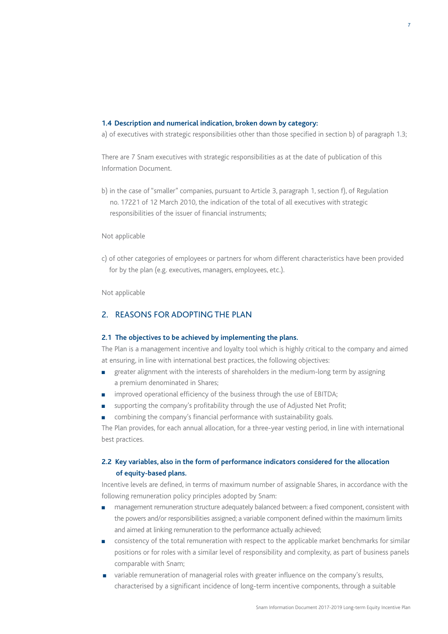#### **1.4 Description and numerical indication, broken down by category:**

a) of executives with strategic responsibilities other than those specified in section b) of paragraph 1.3;

There are 7 Snam executives with strategic responsibilities as at the date of publication of this Information Document.

b) in the case of "smaller" companies, pursuant to Article 3, paragraph 1, section f), of Regulation no. 17221 of 12 March 2010, the indication of the total of all executives with strategic responsibilities of the issuer of financial instruments;

Not applicable

c) of other categories of employees or partners for whom different characteristics have been provided for by the plan (e.g. executives, managers, employees, etc.).

Not applicable

## 2. Reasons for adopting the plan

#### **2.1 The objectives to be achieved by implementing the plans.**

The Plan is a management incentive and loyalty tool which is highly critical to the company and aimed at ensuring, in line with international best practices, the following objectives:

- greater alignment with the interests of shareholders in the medium-long term by assigning a premium denominated in Shares;
- n improved operational efficiency of the business through the use of EBITDA;
- supporting the company's profitability through the use of Adjusted Net Profit;
- combining the company's financial performance with sustainability goals.

The Plan provides, for each annual allocation, for a three-year vesting period, in line with international best practices.

## **2.2 Key variables, also in the form of performance indicators considered for the allocation of equity-based plans.**

Incentive levels are defined, in terms of maximum number of assignable Shares, in accordance with the following remuneration policy principles adopted by Snam:

- management remuneration structure adequately balanced between: a fixed component, consistent with the powers and/or responsibilities assigned; a variable component defined within the maximum limits and aimed at linking remuneration to the performance actually achieved;
- n consistency of the total remuneration with respect to the applicable market benchmarks for similar positions or for roles with a similar level of responsibility and complexity, as part of business panels comparable with Snam;
- variable remuneration of managerial roles with greater influence on the company's results, characterised by a significant incidence of long-term incentive components, through a suitable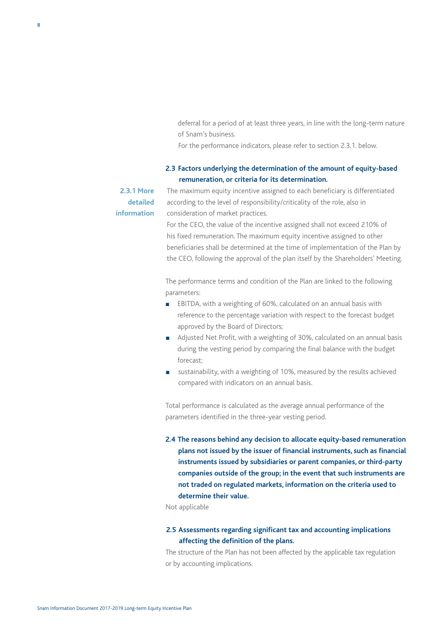deferral for a period of at least three years, in line with the long-term nature of Snam's business.

For the performance indicators, please refer to section 2.3.1. below.

## **2.3 Factors underlying the determination of the amount of equity-based remuneration, or criteria for its determination.**

## **2.3.1 More detailed information**

The maximum equity incentive assigned to each beneficiary is differentiated according to the level of responsibility/criticality of the role, also in consideration of market practices.

For the CEO, the value of the incentive assigned shall not exceed 210% of his fixed remuneration. The maximum equity incentive assigned to other beneficiaries shall be determined at the time of implementation of the Plan by the CEO, following the approval of the plan itself by the Shareholders' Meeting.

The performance terms and condition of the Plan are linked to the following parameters:

- EBITDA, with a weighting of 60%, calculated on an annual basis with reference to the percentage variation with respect to the forecast budget approved by the Board of Directors;
- Adjusted Net Profit, with a weighting of 30%, calculated on an annual basis during the vesting period by comparing the final balance with the budget forecast;
- sustainability, with a weighting of 10%, measured by the results achieved compared with indicators on an annual basis.

Total performance is calculated as the average annual performance of the parameters identified in the three-year vesting period.

**2.4 The reasons behind any decision to allocate equity-based remuneration plans not issued by the issuer of financial instruments, such as financial instruments issued by subsidiaries or parent companies, or third-party companies outside of the group; in the event that such instruments are not traded on regulated markets, information on the criteria used to determine their value.**

Not applicable

## **2.5 Assessments regarding significant tax and accounting implications affecting the definition of the plans.**

The structure of the Plan has not been affected by the applicable tax regulation or by accounting implications.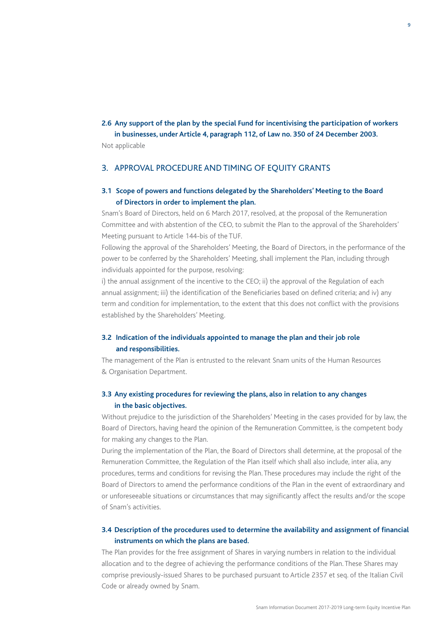## **2.6 Any support of the plan by the special Fund for incentivising the participation of workers in businesses, under Article 4, paragraph 112, of Law no. 350 of 24 December 2003.** Not applicable

## 3. APPROVAL PROCEDURE AND TIMING OF EQUITY GRANTS

## **3.1 Scope of powers and functions delegated by the Shareholders' Meeting to the Board of Directors in order to implement the plan.**

Snam's Board of Directors, held on 6 March 2017, resolved, at the proposal of the Remuneration Committee and with abstention of the CEO, to submit the Plan to the approval of the Shareholders' Meeting pursuant to Article 144-bis of the TUF.

Following the approval of the Shareholders' Meeting, the Board of Directors, in the performance of the power to be conferred by the Shareholders' Meeting, shall implement the Plan, including through individuals appointed for the purpose, resolving:

i) the annual assignment of the incentive to the CEO; ii) the approval of the Regulation of each annual assignment; iii) the identification of the Beneficiaries based on defined criteria; and iv) any term and condition for implementation, to the extent that this does not conflict with the provisions established by the Shareholders' Meeting.

## **3.2 Indication of the individuals appointed to manage the plan and their job role and responsibilities.**

The management of the Plan is entrusted to the relevant Snam units of the Human Resources & Organisation Department.

## **3.3 Any existing procedures for reviewing the plans, also in relation to any changes in the basic objectives.**

Without prejudice to the jurisdiction of the Shareholders' Meeting in the cases provided for by law, the Board of Directors, having heard the opinion of the Remuneration Committee, is the competent body for making any changes to the Plan.

During the implementation of the Plan, the Board of Directors shall determine, at the proposal of the Remuneration Committee, the Regulation of the Plan itself which shall also include, inter alia, any procedures, terms and conditions for revising the Plan. These procedures may include the right of the Board of Directors to amend the performance conditions of the Plan in the event of extraordinary and or unforeseeable situations or circumstances that may significantly affect the results and/or the scope of Snam's activities.

## **3.4 Description of the procedures used to determine the availability and assignment of financial instruments on which the plans are based.**

The Plan provides for the free assignment of Shares in varying numbers in relation to the individual allocation and to the degree of achieving the performance conditions of the Plan. These Shares may comprise previously-issued Shares to be purchased pursuant to Article 2357 et seq. of the Italian Civil Code or already owned by Snam.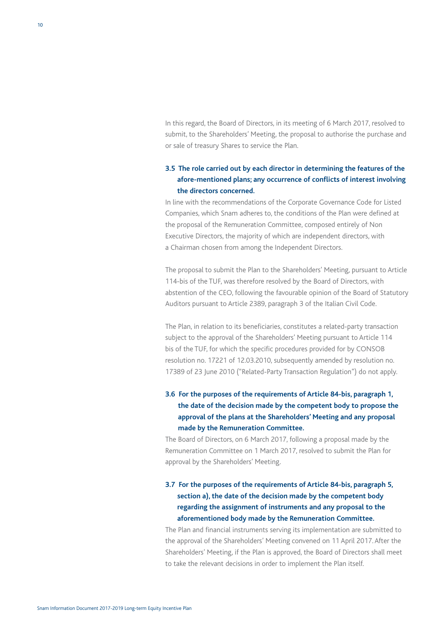In this regard, the Board of Directors, in its meeting of 6 March 2017, resolved to submit, to the Shareholders' Meeting, the proposal to authorise the purchase and or sale of treasury Shares to service the Plan.

## **3.5 The role carried out by each director in determining the features of the afore-mentioned plans; any occurrence of conflicts of interest involving the directors concerned.**

In line with the recommendations of the Corporate Governance Code for Listed Companies, which Snam adheres to, the conditions of the Plan were defined at the proposal of the Remuneration Committee, composed entirely of Non Executive Directors, the majority of which are independent directors, with a Chairman chosen from among the Independent Directors.

The proposal to submit the Plan to the Shareholders' Meeting, pursuant to Article 114-bis of the TUF, was therefore resolved by the Board of Directors, with abstention of the CEO, following the favourable opinion of the Board of Statutory Auditors pursuant to Article 2389, paragraph 3 of the Italian Civil Code.

The Plan, in relation to its beneficiaries, constitutes a related-party transaction subject to the approval of the Shareholders' Meeting pursuant to Article 114 bis of the TUF, for which the specific procedures provided for by CONSOB resolution no. 17221 of 12.03.2010, subsequently amended by resolution no. 17389 of 23 June 2010 ("Related-Party Transaction Regulation") do not apply.

## **3.6 For the purposes of the requirements of Article 84-bis, paragraph 1, the date of the decision made by the competent body to propose the approval of the plans at the Shareholders' Meeting and any proposal made by the Remuneration Committee.**

The Board of Directors, on 6 March 2017, following a proposal made by the Remuneration Committee on 1 March 2017, resolved to submit the Plan for approval by the Shareholders' Meeting.

## **3.7 For the purposes of the requirements of Article 84-bis, paragraph 5, section a), the date of the decision made by the competent body regarding the assignment of instruments and any proposal to the aforementioned body made by the Remuneration Committee.**

The Plan and financial instruments serving its implementation are submitted to the approval of the Shareholders' Meeting convened on 11 April 2017. After the Shareholders' Meeting, if the Plan is approved, the Board of Directors shall meet to take the relevant decisions in order to implement the Plan itself.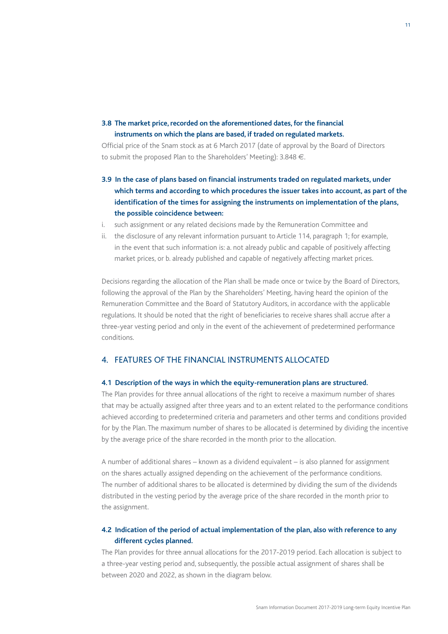## **3.8 The market price, recorded on the aforementioned dates, for the financial instruments on which the plans are based, if traded on regulated markets.**

Official price of the Snam stock as at 6 March 2017 (date of approval by the Board of Directors to submit the proposed Plan to the Shareholders' Meeting): 3.848 €.

## **3.9 In the case of plans based on financial instruments traded on regulated markets, under which terms and according to which procedures the issuer takes into account, as part of the identification of the times for assigning the instruments on implementation of the plans, the possible coincidence between:**

- i. such assignment or any related decisions made by the Remuneration Committee and
- ii. the disclosure of any relevant information pursuant to Article 114, paragraph 1; for example, in the event that such information is: a. not already public and capable of positively affecting market prices, or b. already published and capable of negatively affecting market prices.

Decisions regarding the allocation of the Plan shall be made once or twice by the Board of Directors, following the approval of the Plan by the Shareholders' Meeting, having heard the opinion of the Remuneration Committee and the Board of Statutory Auditors, in accordance with the applicable regulations. It should be noted that the right of beneficiaries to receive shares shall accrue after a three-year vesting period and only in the event of the achievement of predetermined performance conditions.

## 4. Features of the financial instruments allocated

### **4.1 Description of the ways in which the equity-remuneration plans are structured.**

The Plan provides for three annual allocations of the right to receive a maximum number of shares that may be actually assigned after three years and to an extent related to the performance conditions achieved according to predetermined criteria and parameters and other terms and conditions provided for by the Plan. The maximum number of shares to be allocated is determined by dividing the incentive by the average price of the share recorded in the month prior to the allocation.

A number of additional shares – known as a dividend equivalent – is also planned for assignment on the shares actually assigned depending on the achievement of the performance conditions. The number of additional shares to be allocated is determined by dividing the sum of the dividends distributed in the vesting period by the average price of the share recorded in the month prior to the assignment.

## **4.2 Indication of the period of actual implementation of the plan, also with reference to any different cycles planned.**

The Plan provides for three annual allocations for the 2017-2019 period. Each allocation is subject to a three-year vesting period and, subsequently, the possible actual assignment of shares shall be between 2020 and 2022, as shown in the diagram below.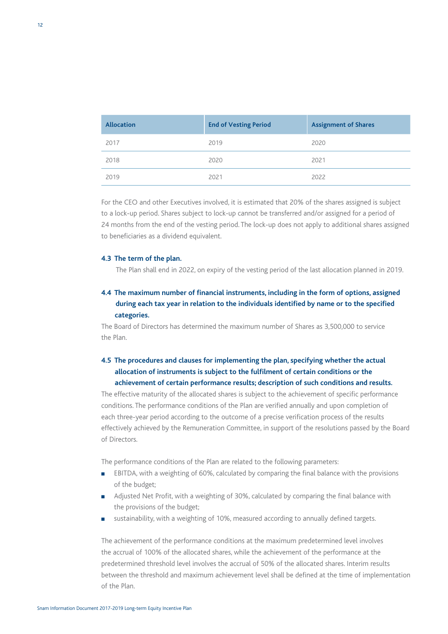| <b>Allocation</b> | <b>End of Vesting Period</b> | <b>Assignment of Shares</b> |
|-------------------|------------------------------|-----------------------------|
| 2017              | 2019                         | 2020                        |
| 2018              | 2020                         | 2021                        |
| 2019              | 2021                         | 2022                        |

For the CEO and other Executives involved, it is estimated that 20% of the shares assigned is subject to a lock-up period. Shares subject to lock-up cannot be transferred and/or assigned for a period of 24 months from the end of the vesting period. The lock-up does not apply to additional shares assigned to beneficiaries as a dividend equivalent.

#### **4.3 The term of the plan.**

The Plan shall end in 2022, on expiry of the vesting period of the last allocation planned in 2019.

## **4.4 The maximum number of financial instruments, including in the form of options, assigned during each tax year in relation to the individuals identified by name or to the specified categories.**

The Board of Directors has determined the maximum number of Shares as 3,500,000 to service the Plan.

## **4.5 The procedures and clauses for implementing the plan, specifying whether the actual allocation of instruments is subject to the fulfilment of certain conditions or the achievement of certain performance results; description of such conditions and results.**

The effective maturity of the allocated shares is subject to the achievement of specific performance conditions. The performance conditions of the Plan are verified annually and upon completion of each three-year period according to the outcome of a precise verification process of the results effectively achieved by the Remuneration Committee, in support of the resolutions passed by the Board of Directors.

The performance conditions of the Plan are related to the following parameters:

- EBITDA, with a weighting of 60%, calculated by comparing the final balance with the provisions of the budget;
- <sup>n</sup> Adjusted Net Profit, with a weighting of 30%, calculated by comparing the final balance with the provisions of the budget;
- sustainability, with a weighting of 10%, measured according to annually defined targets.

The achievement of the performance conditions at the maximum predetermined level involves the accrual of 100% of the allocated shares, while the achievement of the performance at the predetermined threshold level involves the accrual of 50% of the allocated shares. Interim results between the threshold and maximum achievement level shall be defined at the time of implementation of the Plan.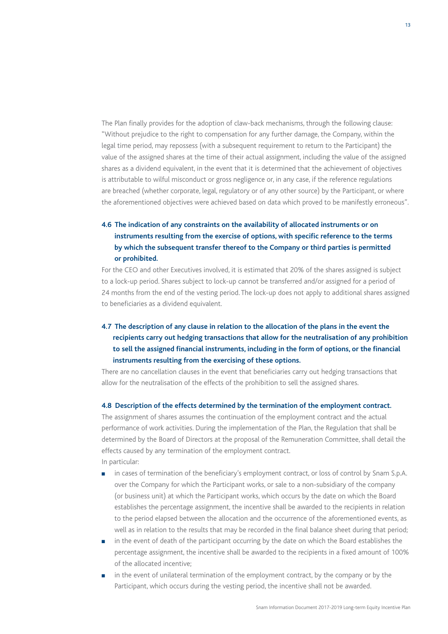The Plan finally provides for the adoption of claw-back mechanisms, through the following clause: "Without prejudice to the right to compensation for any further damage, the Company, within the legal time period, may repossess (with a subsequent requirement to return to the Participant) the value of the assigned shares at the time of their actual assignment, including the value of the assigned shares as a dividend equivalent, in the event that it is determined that the achievement of objectives is attributable to wilful misconduct or gross negligence or, in any case, if the reference regulations are breached (whether corporate, legal, regulatory or of any other source) by the Participant, or where the aforementioned objectives were achieved based on data which proved to be manifestly erroneous".

## **4.6 The indication of any constraints on the availability of allocated instruments or on instruments resulting from the exercise of options, with specific reference to the terms by which the subsequent transfer thereof to the Company or third parties is permitted or prohibited.**

For the CEO and other Executives involved, it is estimated that 20% of the shares assigned is subject to a lock-up period. Shares subject to lock-up cannot be transferred and/or assigned for a period of 24 months from the end of the vesting period. The lock-up does not apply to additional shares assigned to beneficiaries as a dividend equivalent.

## **4.7 The description of any clause in relation to the allocation of the plans in the event the recipients carry out hedging transactions that allow for the neutralisation of any prohibition to sell the assigned financial instruments, including in the form of options, or the financial instruments resulting from the exercising of these options.**

There are no cancellation clauses in the event that beneficiaries carry out hedging transactions that allow for the neutralisation of the effects of the prohibition to sell the assigned shares.

#### **4.8 Description of the effects determined by the termination of the employment contract.**

The assignment of shares assumes the continuation of the employment contract and the actual performance of work activities. During the implementation of the Plan, the Regulation that shall be determined by the Board of Directors at the proposal of the Remuneration Committee, shall detail the effects caused by any termination of the employment contract. In particular:

- in cases of termination of the beneficiary's employment contract, or loss of control by Snam S.p.A. over the Company for which the Participant works, or sale to a non-subsidiary of the company (or business unit) at which the Participant works, which occurs by the date on which the Board establishes the percentage assignment, the incentive shall be awarded to the recipients in relation to the period elapsed between the allocation and the occurrence of the aforementioned events, as well as in relation to the results that may be recorded in the final balance sheet during that period;
- <sup>n</sup> in the event of death of the participant occurring by the date on which the Board establishes the percentage assignment, the incentive shall be awarded to the recipients in a fixed amount of 100% of the allocated incentive;
- <sup>n</sup> in the event of unilateral termination of the employment contract, by the company or by the Participant, which occurs during the vesting period, the incentive shall not be awarded.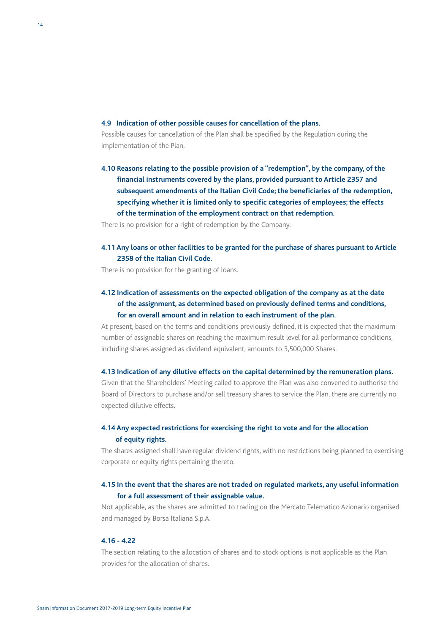#### **4.9 Indication of other possible causes for cancellation of the plans.**

Possible causes for cancellation of the Plan shall be specified by the Regulation during the implementation of the Plan.

**4.10 Reasons relating to the possible provision of a "redemption", by the company, of the financial instruments covered by the plans, provided pursuant to Article 2357 and subsequent amendments of the Italian Civil Code; the beneficiaries of the redemption, specifying whether it is limited only to specific categories of employees; the effects of the termination of the employment contract on that redemption.**

There is no provision for a right of redemption by the Company.

**4.11 Any loans or other facilities to be granted for the purchase of shares pursuant to Article 2358 of the Italian Civil Code.**

There is no provision for the granting of loans.

## **4.12 Indication of assessments on the expected obligation of the company as at the date of the assignment, as determined based on previously defined terms and conditions, for an overall amount and in relation to each instrument of the plan.**

At present, based on the terms and conditions previously defined, it is expected that the maximum number of assignable shares on reaching the maximum result level for all performance conditions, including shares assigned as dividend equivalent, amounts to 3,500,000 Shares.

#### **4.13 Indication of any dilutive effects on the capital determined by the remuneration plans.**

Given that the Shareholders' Meeting called to approve the Plan was also convened to authorise the Board of Directors to purchase and/or sell treasury shares to service the Plan, there are currently no expected dilutive effects.

## **4.14 Any expected restrictions for exercising the right to vote and for the allocation of equity rights.**

The shares assigned shall have regular dividend rights, with no restrictions being planned to exercising corporate or equity rights pertaining thereto.

## **4.15 In the event that the shares are not traded on regulated markets, any useful information for a full assessment of their assignable value.**

Not applicable, as the shares are admitted to trading on the Mercato Telematico Azionario organised and managed by Borsa Italiana S.p.A.

### **4.16 - 4.22**

The section relating to the allocation of shares and to stock options is not applicable as the Plan provides for the allocation of shares.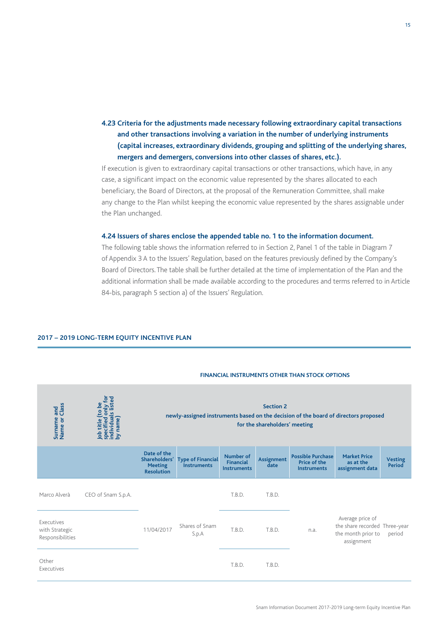## **4.23 Criteria for the adjustments made necessary following extraordinary capital transactions and other transactions involving a variation in the number of underlying instruments (capital increases, extraordinary dividends, grouping and splitting of the underlying shares, mergers and demergers, conversions into other classes of shares, etc.).**

If execution is given to extraordinary capital transactions or other transactions, which have, in any case, a significant impact on the economic value represented by the shares allocated to each beneficiary, the Board of Directors, at the proposal of the Remuneration Committee, shall make any change to the Plan whilst keeping the economic value represented by the shares assignable under the Plan unchanged.

#### **4.24 Issuers of shares enclose the appended table no. 1 to the information document.**

The following table shows the information referred to in Section 2, Panel 1 of the table in Diagram 7 of Appendix 3 A to the Issuers' Regulation, based on the features previously defined by the Company's Board of Directors. The table shall be further detailed at the time of implementation of the Plan and the additional information shall be made available according to the procedures and terms referred to in Article 84-bis, paragraph 5 section a) of the Issuers' Regulation.

#### **2017 – 2019 LONG-TERM EQUITY INCENTIVE PLAN**

#### **specified only for**  ទី ១ **individuals listed**  Job title (to be<br>specified only fc<br>individuals liste<br>by name) Surname and<br>Name or Class **Job title (to be Name or Class Section 2 Surname and newly-assigned instruments based on the decision of the board of directors proposed for the shareholders' meeting Date of the Number of Possible Purchase Market Price Type of Financial Vesting Shareholders' Assignment Financial Price of the as at the Meeting Instruments Period date Instruments Instruments assignment data Resolution** Marco Alverà CEO of Snam S.p.A. T.B.D. T.B.D. Average price of Executives 11/04/2017 Shares of Snam the share recorded Three-year with Strategic TRD. TRD. n.a. S.p.A the month prior to period Responsibilities assignment Other Executives T.B.D. T.B.D. T.B.D. T.B.D.

#### **FINANCIAL INSTRUMENTS OTHER THAN STOCK OPTIONS**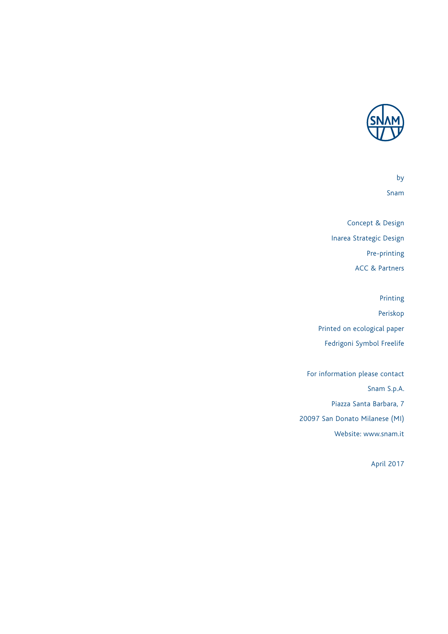

by Snam

Concept & Design Inarea Strategic Design Pre-printing ACC & Partners

Printing Periskop Printed on ecological paper Fedrigoni Symbol Freelife

For information please contact Snam S.p.A. Piazza Santa Barbara, 7

20097 San Donato Milanese (MI)

Website: www.snam.it

April 2017